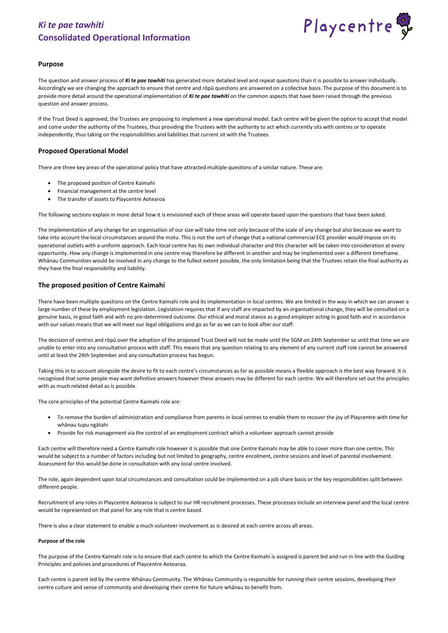

## **Purpose**

The question and answer process of *Ki te pae tawhiti* has generated more detailed level and repeat questions than it is possible to answer individually. Accordingly we are changing the approach to ensure that centre and rōpū questions are answered on a collective basis. The purpose of this document is to provide more detail around the operational implementation of *Ki te pae tawhiti* on the common aspects that have been raised through the previous question and answer process.

If the Trust Deed is approved, the Trustees are proposing to implement a new operational model. Each centre will be given the option to accept that model and come under the authority of the Trustees, thus providing the Trustees with the authority to act which currently sits with centres or to operate independently, thus taking on the responsibilities and liabilities that current sit with the Trustees.

## **Proposed Operational Model**

There are three key areas of the operational policy that have attracted multiple questions of a similar nature. These are:

- The proposed position of Centre Kaimahi
- Financial management at the centre level
- The transfer of assets to Playcentre Aotearoa

The following sections explain in more detail how it is envisioned each of these areas will operate based upon the questions that have been asked.

The implementation of any change for an organisation of our size will take time not only because of the scale of any change but also because we want to take into account the local circumstances around the motu. This is not the sort of change that a national commercial ECE provider would impose on its operational outlets with a uniform approach. Each local centre has its own individual character and this character will be taken into consideration at every opportunity. How any change is implemented in one centre may therefore be different in another and may be implemented over a different timeframe. Whānau Communities would be involved in any change to the fullest extent possible, the only limitation being that the Trustees retain the final authority as they have the final responsibility and liability.

## **The proposed position of Centre Kaimahi**

There have been multiple questions on the Centre Kaimahi role and its implementation in local centres. We are limited in the way in which we can answer a large number of these by employment legislation. Legislation requires that if any staff are impacted by an organisational change, they will be consulted on a genuine basis, in good faith and with no pre-determined outcome. Our ethical and moral stance as a good employer acting in good faith and in accordance with our values means that we will meet our legal obligations and go as far as we can to look after our staff.

The decision of centres and rōpū over the adoption of the proposed Trust Deed will not be made until the SGM on 24th September so until that time we are unable to enter into any consultation process with staff. This means that any question relating to any element of any current staff role cannot be answered until at least the 24th September and any consultation process has begun.

Taking this in to account alongside the desire to fit to each centre's circumstances as far as possible means a flexible approach is the best way forward. It is recognised that some people may want definitive answers however these answers may be different for each centre. We will therefore set out the principles with as much related detail as is possible.

The core principles of the potential Centre Kaimahi role are:

- To remove the burden of administration and compliance from parents in local centres to enable them to recover the joy of Playcentre with time for whānau tupu ngātahi
- Provide for risk management via the control of an employment contract which a volunteer approach cannot provide

Each centre will therefore need a Centre Kaimahi role however it is possible that one Centre Kaimahi may be able to cover more than one centre. This would be subject to a number of factors including but not limited to geography, centre enrolment, centre sessions and level of parental involvement. Assessment for this would be done in consultation with any local centre involved.

The role, again dependent upon local circumstances and consultation could be implemented on a job share basis or the key responsibilities split between different people.

Recruitment of any roles in Playcentre Aotearoa is subject to our HR recruitment processes. These processes include an interview panel and the local centre would be represented on that panel for any role that is centre based.

There is also a clear statement to enable a much volunteer involvement as is desired at each centre across all areas.

#### **Purpose of the role**

The purpose of the Centre Kaimahi role is to ensure that each centre to which the Centre Kaimahi is assigned is parent led and run in line with the Guiding Principles and policies and procedures of Playcentre Aotearoa.

Each centre is parent led by the centre Whānau Community. The Whānau Community is responsible for running their centre sessions, developing their centre culture and sense of community and developing their centre for future whānau to benefit from.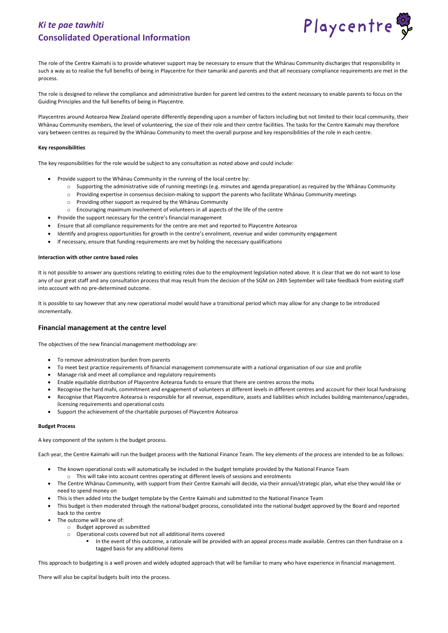

The role of the Centre Kaimahi is to provide whatever support may be necessary to ensure that the Whānau Community discharges that responsibility in such a way as to realise the full benefits of being in Playcentre for their tamariki and parents and that all necessary compliance requirements are met in the process.

The role is designed to relieve the compliance and administrative burden for parent led centres to the extent necessary to enable parents to focus on the Guiding Principles and the full benefits of being in Playcentre.

Playcentres around Aotearoa New Zealand operate differently depending upon a number of factors including but not limited to their local community, their Whānau Community members, the level of volunteering, the size of their role and their centre facilities. The tasks for the Centre Kaimahi may therefore vary between centres as required by the Whānau Community to meet the overall purpose and key responsibilities of the role in each centre.

#### **Key responsibilities**

The key responsibilities for the role would be subject to any consultation as noted above and could include:

- Provide support to the Whānau Community in the running of the local centre by:
	- $\circ$  Supporting the administrative side of running meetings (e.g. minutes and agenda preparation) as required by the Whānau Community
	- o Providing expertise in consensus decision-making to support the parents who facilitate Whānau Community meetings
	- o Providing other support as required by the Whānau Community
	- o Encouraging maximum involvement of volunteers in all aspects of the life of the centre
- Provide the support necessary for the centre's financial management
- Ensure that all compliance requirements for the centre are met and reported to Playcentre Aotearoa
- Identify and progress opportunities for growth in the centre's enrolment, revenue and wider community engagement
- If necessary, ensure that funding requirements are met by holding the necessary qualifications

#### **Interaction with other centre based roles**

It is not possible to answer any questions relating to existing roles due to the employment legislation noted above. It is clear that we do not want to lose any of our great staff and any consultation process that may result from the decision of the SGM on 24th September will take feedback from existing staff into account with no pre-determined outcome.

It is possible to say however that any new operational model would have a transitional period which may allow for any change to be introduced incrementally.

## **Financial management at the centre level**

The objectives of the new financial management methodology are:

- To remove administration burden from parents
- To meet best practice requirements of financial management commensurate with a national organisation of our size and profile
- Manage risk and meet all compliance and regulatory requirements
- Enable equitable distribution of Playcentre Aotearoa funds to ensure that there are centres across the motu
- Recognise the hard mahi, commitment and engagement of volunteers at different levels in different centres and account for their local fundraising
- Recognise that Playcentre Aotearoa is responsible for all revenue, expenditure, assets and liabilities which includes building maintenance/upgrades, licensing requirements and operational costs
- Support the achievement of the charitable purposes of Playcentre Aotearoa

#### **Budget Process**

A key component of the system is the budget process.

Each year, the Centre Kaimahi will run the budget process with the National Finance Team. The key elements of the process are intended to be as follows:

- The known operational costs will automatically be included in the budget template provided by the National Finance Team  $\circ$  This will take into account centres operating at different levels of sessions and enrolments
- 
- The Centre Whānau Community, with support from their Centre Kaimahi will decide, via their annual/strategic plan, what else they would like or need to spend money on
- This is then added into the budget template by the Centre Kaimahi and submitted to the National Finance Team
- This budget is then moderated through the national budget process, consolidated into the national budget approved by the Board and reported back to the centre
- The outcome will be one of:
	- o Budget approved as submitted
	- o Operational costs covered but not all additional items covered
		- In the event of this outcome, a rationale will be provided with an appeal process made available. Centres can then fundraise on a tagged basis for any additional items

This approach to budgeting is a well proven and widely adopted approach that will be familiar to many who have experience in financial management.

There will also be capital budgets built into the process.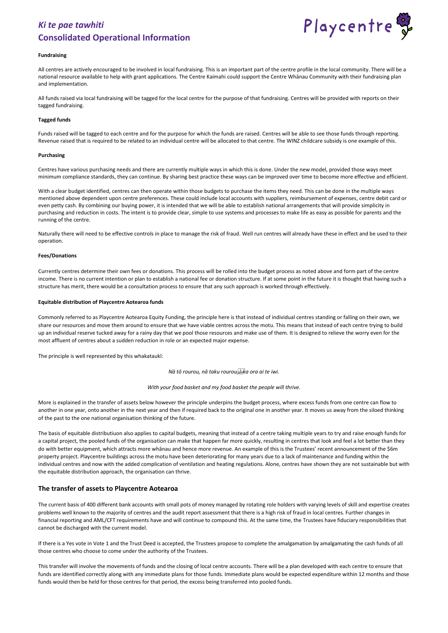

#### **Fundraising**

All centres are actively encouraged to be involved in local fundraising. This is an important part of the centre profile in the local community. There will be a national resource available to help with grant applications. The Centre Kaimahi could support the Centre Whānau Community with their fundraising plan and implementation.

All funds raised via local fundraising will be tagged for the local centre for the purpose of that fundraising. Centres will be provided with reports on their tagged fundraising.

#### **Tagged funds**

Funds raised will be tagged to each centre and for the purpose for which the funds are raised. Centres will be able to see those funds through reporting. Revenue raised that is required to be related to an individual centre will be allocated to that centre. The WINZ childcare subsidy is one example of this.

#### **Purchasing**

Centres have various purchasing needs and there are currently multiple ways in which this is done. Under the new model, provided those ways meet minimum compliance standards, they can continue. By sharing best practice these ways can be improved over time to become more effective and efficient.

With a clear budget identified, centres can then operate within those budgets to purchase the items they need. This can be done in the multiple ways mentioned above dependent upon centre preferences. These could include local accounts with suppliers, reimbursement of expenses, centre debit card or even petty cash. By combining our buying power, it is intended that we will be able to establish national arrangements that will provide simplicity in purchasing and reduction in costs. The intent is to provide clear, simple to use systems and processes to make life as easy as possible for parents and the running of the centre.

Naturally there will need to be effective controls in place to manage the risk of fraud. Well run centres will already have these in effect and be used to their operation.

#### **Fees/Donations**

Currently centres determine their own fees or donations. This process will be rolled into the budget process as noted above and form part of the centre income. There is no current intention or plan to establish a national fee or donation structure. If at some point in the future it is thought that having such a structure has merit, there would be a consultation process to ensure that any such approach is worked through effectively.

#### **Equitable distribution of Playcentre Aotearoa funds**

Commonly referred to as Playcentre Aotearoa Equity Funding, the principle here is that instead of individual centres standing or falling on their own, we share our resources and move them around to ensure that we have viable centres across the motu. This means that instead of each centre trying to build up an individual reserve tucked away for a rainy day that we pool those resources and make use of them. It is designed to relieve the worry even for the most affluent of centres about a sudden reduction in role or an expected major expense.

The principle is well represented by this whakataukī:

*Nā tō rourou, nā taku rourou ka ora ai te iwi.*

#### *With your food basket and my food basket the people will thrive.*

More is explained in the transfer of assets below however the principle underpins the budget process, where excess funds from one centre can flow to another in one year, onto another in the next year and then if required back to the original one in another year. It moves us away from the siloed thinking of the past to the one national organisation thinking of the future.

The basis of equitable distributiuon also applies to capital budgets, meaning that instead of a centre taking multiple years to try and raise enough funds for a capital project, the pooled funds of the organisation can make that happen far more quickly, resulting in centres that look and feel a lot better than they do with better equipment, which attracts more whānau and hence more revenue. An example of this is the Trustees' recent announcement of the \$6m property project. Playcentre buildings across the motu have been deteriorating for many years due to a lack of maintenance and funding within the individual centres and now with the added complication of ventilation and heating regulations. Alone, centres have shown they are not sustainable but with the equitable distribution approach, the organisation can thrive.

### **The transfer of assets to Playcentre Aotearoa**

The current basis of 400 different bank accounts with small pots of money managed by rotating role holders with varying levels of skill and expertise creates problems well known to the majority of centres and the audit report assessment that there is a high risk of fraud in local centres. Further changes in financial reporting and AML/CFT requirements have and will continue to compound this. At the same time, the Trustees have fiduciary responsibilities that cannot be discharged with the current model.

If there is a Yes vote in Vote 1 and the Trust Deed is accepted, the Trustees propose to complete the amalgamation by amalgamating the cash funds of all those centres who choose to come under the authority of the Trustees.

This transfer will involve the movements of funds and the closing of local centre accounts. There will be a plan developed with each centre to ensure that funds are identified correctly along with any immediate plans for those funds. Immediate plans would be expected expenditure within 12 months and those funds would then be held for those centres for that period, the excess being transferred into pooled funds.